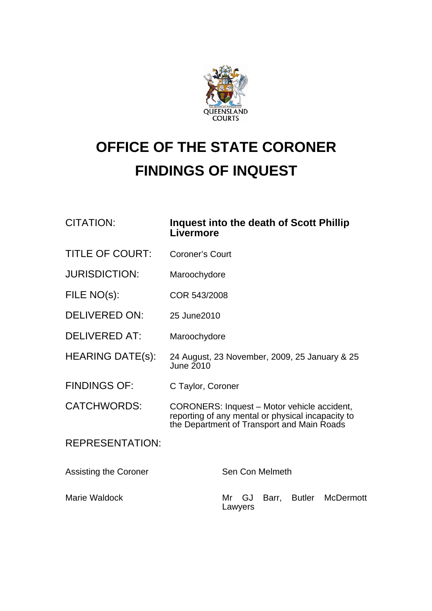

## **OFFICE OF THE STATE CORONER FINDINGS OF INQUEST**

## CITATION: **Inquest into the death of Scott Phillip Livermore**

- TITLE OF COURT: Coroner's Court
- JURISDICTION: Maroochydore
- FILE NO(s): COR 543/2008
- DELIVERED ON: 25 June 2010
- DELIVERED AT: Maroochydore
- HEARING DATE(s): 24 August, 23 November, 2009, 25 January & 25 June 2010
- FINDINGS OF: C Taylor, Coroner
- CATCHWORDS: CORONERS: Inquest Motor vehicle accident, reporting of any mental or physical incapacity to the Department of Transport and Main Roads

REPRESENTATION:

| Assisting the Coroner | Sen Con Melmeth                         |
|-----------------------|-----------------------------------------|
| Marie Waldock         | Mr GJ Barr, Butler McDermott<br>Lawyers |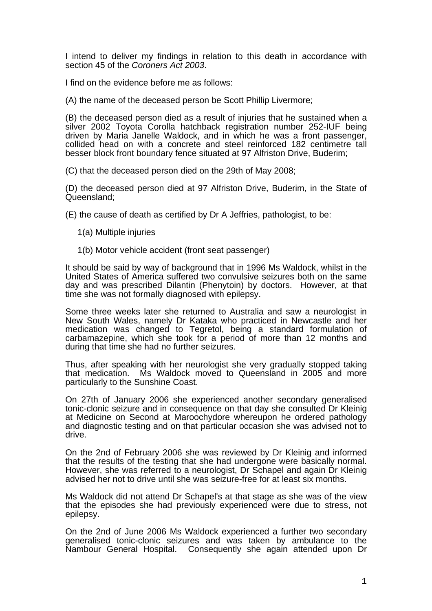I intend to deliver my findings in relation to this death in accordance with section 45 of the *Coroners Act 2003*.

I find on the evidence before me as follows:

(A) the name of the deceased person be Scott Phillip Livermore;

(B) the deceased person died as a result of injuries that he sustained when a silver 2002 Toyota Corolla hatchback registration number 252-IUF being driven by Maria Janelle Waldock, and in which he was a front passenger, collided head on with a concrete and steel reinforced 182 centimetre tall besser block front boundary fence situated at 97 Alfriston Drive, Buderim;

(C) that the deceased person died on the 29th of May 2008;

(D) the deceased person died at 97 Alfriston Drive, Buderim, in the State of Queensland;

(E) the cause of death as certified by Dr A Jeffries, pathologist, to be:

- 1(a) Multiple injuries
- 1(b) Motor vehicle accident (front seat passenger)

It should be said by way of background that in 1996 Ms Waldock, whilst in the United States of America suffered two convulsive seizures both on the same day and was prescribed Dilantin (Phenytoin) by doctors. However, at that time she was not formally diagnosed with epilepsy.

Some three weeks later she returned to Australia and saw a neurologist in New South Wales, namely Dr Kataka who practiced in Newcastle and her medication was changed to Tegretol, being a standard formulation of carbamazepine, which she took for a period of more than 12 months and during that time she had no further seizures.

Thus, after speaking with her neurologist she very gradually stopped taking that medication. Ms Waldock moved to Queensland in 2005 and more particularly to the Sunshine Coast.

On 27th of January 2006 she experienced another secondary generalised tonic-clonic seizure and in consequence on that day she consulted Dr Kleinig at Medicine on Second at Maroochydore whereupon he ordered pathology and diagnostic testing and on that particular occasion she was advised not to drive.

On the 2nd of February 2006 she was reviewed by Dr Kleinig and informed that the results of the testing that she had undergone were basically normal. However, she was referred to a neurologist, Dr Schapel and again Dr Kleinig advised her not to drive until she was seizure-free for at least six months.

Ms Waldock did not attend Dr Schapel's at that stage as she was of the view that the episodes she had previously experienced were due to stress, not epilepsy.

On the 2nd of June 2006 Ms Waldock experienced a further two secondary generalised tonic-clonic seizures and was taken by ambulance to the Nambour General Hospital. Consequently she again attended upon Dr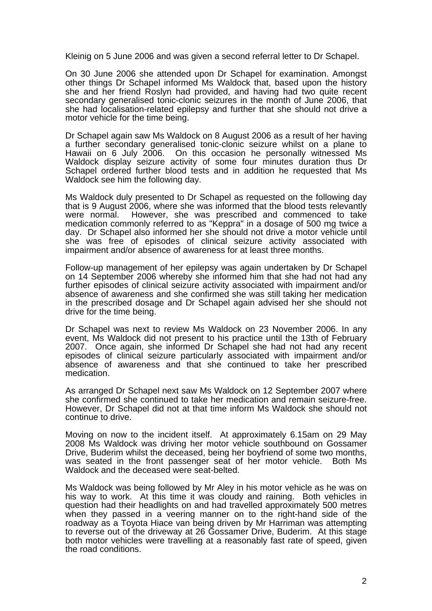Kleinig on 5 June 2006 and was given a second referral letter to Dr Schapel.

On 30 June 2006 she attended upon Dr Schapel for examination. Amongst other things Dr Schapel informed Ms Waldock that, based upon the history she and her friend Roslyn had provided, and having had two quite recent secondary generalised tonic-clonic seizures in the month of June 2006, that she had localisation-related epilepsy and further that she should not drive a motor vehicle for the time being.

Dr Schapel again saw Ms Waldock on 8 August 2006 as a result of her having a further secondary generalised tonic-clonic seizure whilst on a plane to Hawaii on 6 July 2006. On this occasion he personally witnessed Ms Waldock display seizure activity of some four minutes duration thus Dr Schapel ordered further blood tests and in addition he requested that Ms Waldock see him the following day.

Ms Waldock duly presented to Dr Schapel as requested on the following day that is 9 August 2006, where she was informed that the blood tests relevantly were normal. However, she was prescribed and commenced to take medication commonly referred to as "Keppra" in a dosage of 500 mg twice a day. Dr Schapel also informed her she should not drive a motor vehicle until she was free of episodes of clinical seizure activity associated with impairment and/or absence of awareness for at least three months.

Follow-up management of her epilepsy was again undertaken by Dr Schapel on 14 September 2006 whereby she informed him that she had not had any further episodes of clinical seizure activity associated with impairment and/or absence of awareness and she confirmed she was still taking her medication in the prescribed dosage and Dr Schapel again advised her she should not drive for the time being.

Dr Schapel was next to review Ms Waldock on 23 November 2006. In any event, Ms Waldock did not present to his practice until the 13th of February 2007. Once again, she informed Dr Schapel she had not had any recent episodes of clinical seizure particularly associated with impairment and/or absence of awareness and that she continued to take her prescribed medication.

As arranged Dr Schapel next saw Ms Waldock on 12 September 2007 where she confirmed she continued to take her medication and remain seizure-free. However, Dr Schapel did not at that time inform Ms Waldock she should not continue to drive.

Moving on now to the incident itself. At approximately 6.15am on 29 May 2008 Ms Waldock was driving her motor vehicle southbound on Gossamer Drive, Buderim whilst the deceased, being her boyfriend of some two months, was seated in the front passenger seat of her motor vehicle. Both Ms Waldock and the deceased were seat-belted.

Ms Waldock was being followed by Mr Aley in his motor vehicle as he was on his way to work. At this time it was cloudy and raining. Both vehicles in question had their headlights on and had travelled approximately 500 metres when they passed in a veering manner on to the right-hand side of the roadway as a Toyota Hiace van being driven by Mr Harriman was attempting to reverse out of the driveway at 26 Gossamer Drive, Buderim. At this stage both motor vehicles were travelling at a reasonably fast rate of speed, given the road conditions.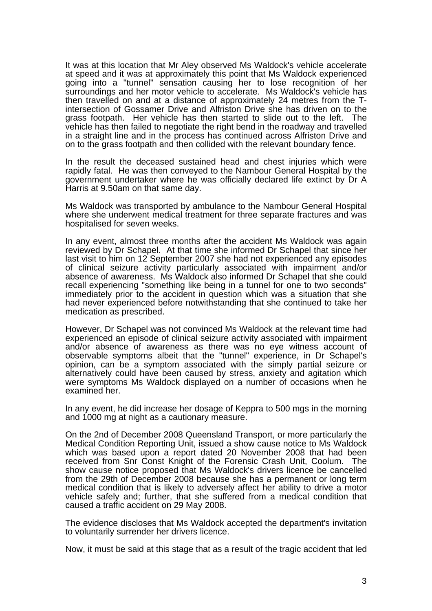It was at this location that Mr Aley observed Ms Waldock's vehicle accelerate at speed and it was at approximately this point that Ms Waldock experienced going into a "tunnel" sensation causing her to lose recognition of her surroundings and her motor vehicle to accelerate. Ms Waldock's vehicle has then travelled on and at a distance of approximately 24 metres from the Tintersection of Gossamer Drive and Alfriston Drive she has driven on to the grass footpath. Her vehicle has then started to slide out to the left. The vehicle has then failed to negotiate the right bend in the roadway and travelled in a straight line and in the process has continued across Alfriston Drive and on to the grass footpath and then collided with the relevant boundary fence.

In the result the deceased sustained head and chest injuries which were rapidly fatal. He was then conveyed to the Nambour General Hospital by the government undertaker where he was officially declared life extinct by Dr A Harris at 9.50am on that same day.

Ms Waldock was transported by ambulance to the Nambour General Hospital where she underwent medical treatment for three separate fractures and was hospitalised for seven weeks.

In any event, almost three months after the accident Ms Waldock was again reviewed by Dr Schapel. At that time she informed Dr Schapel that since her last visit to him on 12 September 2007 she had not experienced any episodes of clinical seizure activity particularly associated with impairment and/or absence of awareness. Ms Waldock also informed Dr Schapel that she could recall experiencing "something like being in a tunnel for one to two seconds" immediately prior to the accident in question which was a situation that she had never experienced before notwithstanding that she continued to take her medication as prescribed.

However, Dr Schapel was not convinced Ms Waldock at the relevant time had experienced an episode of clinical seizure activity associated with impairment and/or absence of awareness as there was no eye witness account of observable symptoms albeit that the "tunnel" experience, in Dr Schapel's opinion, can be a symptom associated with the simply partial seizure or alternatively could have been caused by stress, anxiety and agitation which were symptoms Ms Waldock displayed on a number of occasions when he examined her.

In any event, he did increase her dosage of Keppra to 500 mgs in the morning and 1000 mg at night as a cautionary measure.

On the 2nd of December 2008 Queensland Transport, or more particularly the Medical Condition Reporting Unit, issued a show cause notice to Ms Waldock which was based upon a report dated 20 November 2008 that had been received from Snr Const Knight of the Forensic Crash Unit, Coolum. The show cause notice proposed that Ms Waldock's drivers licence be cancelled from the 29th of December 2008 because she has a permanent or long term medical condition that is likely to adversely affect her ability to drive a motor vehicle safely and; further, that she suffered from a medical condition that caused a traffic accident on 29 May 2008.

The evidence discloses that Ms Waldock accepted the department's invitation to voluntarily surrender her drivers licence.

Now, it must be said at this stage that as a result of the tragic accident that led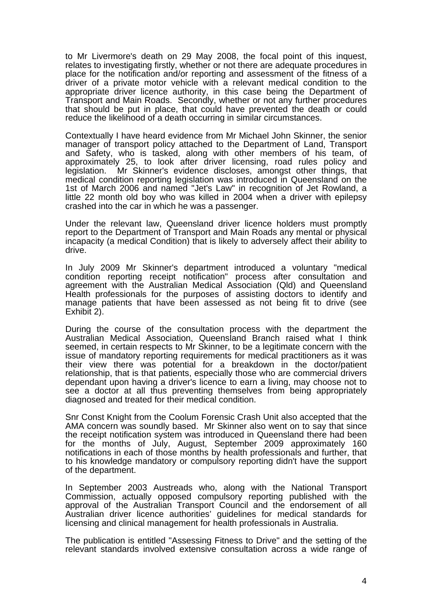to Mr Livermore's death on 29 May 2008, the focal point of this inquest, relates to investigating firstly, whether or not there are adequate procedures in place for the notification and/or reporting and assessment of the fitness of a driver of a private motor vehicle with a relevant medical condition to the appropriate driver licence authority, in this case being the Department of Transport and Main Roads. Secondly, whether or not any further procedures that should be put in place, that could have prevented the death or could reduce the likelihood of a death occurring in similar circumstances.

Contextually I have heard evidence from Mr Michael John Skinner, the senior manager of transport policy attached to the Department of Land, Transport and Safety, who is tasked, along with other members of his team, of approximately 25, to look after driver licensing, road rules policy and legislation. Mr Skinner's evidence discloses, amongst other things, that medical condition reporting legislation was introduced in Queensland on the 1st of March 2006 and named "Jet's Law" in recognition of Jet Rowland, a little 22 month old boy who was killed in 2004 when a driver with epilepsy crashed into the car in which he was a passenger.

Under the relevant law, Queensland driver licence holders must promptly report to the Department of Transport and Main Roads any mental or physical incapacity (a medical Condition) that is likely to adversely affect their ability to drive.

In July 2009 Mr Skinner's department introduced a voluntary "medical condition reporting receipt notification" process after consultation and agreement with the Australian Medical Association (Qld) and Queensland Health professionals for the purposes of assisting doctors to identify and manage patients that have been assessed as not being fit to drive (see Exhibit 2).

During the course of the consultation process with the department the Australian Medical Association, Queensland Branch raised what I think seemed, in certain respects to Mr Skinner, to be a legitimate concern with the issue of mandatory reporting requirements for medical practitioners as it was their view there was potential for a breakdown in the doctor/patient relationship, that is that patients, especially those who are commercial drivers dependant upon having a driver's licence to earn a living, may choose not to see a doctor at all thus preventing themselves from being appropriately diagnosed and treated for their medical condition.

Snr Const Knight from the Coolum Forensic Crash Unit also accepted that the AMA concern was soundly based. Mr Skinner also went on to say that since the receipt notification system was introduced in Queensland there had been for the months of July, August, September 2009 approximately 160 notifications in each of those months by health professionals and further, that to his knowledge mandatory or compulsory reporting didn't have the support of the department.

In September 2003 Austreads who, along with the National Transport Commission, actually opposed compulsory reporting published with the approval of the Australian Transport Council and the endorsement of all Australian driver licence authorities' guidelines for medical standards for licensing and clinical management for health professionals in Australia.

The publication is entitled "Assessing Fitness to Drive" and the setting of the relevant standards involved extensive consultation across a wide range of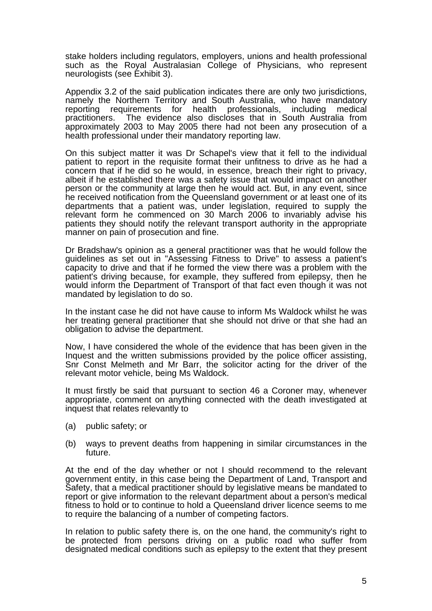stake holders including regulators, employers, unions and health professional such as the Royal Australasian College of Physicians, who represent neurologists (see Exhibit 3).

Appendix 3.2 of the said publication indicates there are only two jurisdictions, namely the Northern Territory and South Australia, who have mandatory reporting requirements for health professionals, including medical practitioners. The evidence also discloses that in South Australia from approximately 2003 to May 2005 there had not been any prosecution of a health professional under their mandatory reporting law.

On this subject matter it was Dr Schapel's view that it fell to the individual patient to report in the requisite format their unfitness to drive as he had a concern that if he did so he would, in essence, breach their right to privacy, albeit if he established there was a safety issue that would impact on another person or the community at large then he would act. But, in any event, since he received notification from the Queensland government or at least one of its departments that a patient was, under legislation, required to supply the relevant form he commenced on 30 March 2006 to invariably advise his patients they should notify the relevant transport authority in the appropriate manner on pain of prosecution and fine.

Dr Bradshaw's opinion as a general practitioner was that he would follow the guidelines as set out in "Assessing Fitness to Drive" to assess a patient's capacity to drive and that if he formed the view there was a problem with the patient's driving because, for example, they suffered from epilepsy, then he would inform the Department of Transport of that fact even though it was not mandated by legislation to do so.

In the instant case he did not have cause to inform Ms Waldock whilst he was her treating general practitioner that she should not drive or that she had an obligation to advise the department.

Now, I have considered the whole of the evidence that has been given in the Inquest and the written submissions provided by the police officer assisting, Snr Const Melmeth and Mr Barr, the solicitor acting for the driver of the relevant motor vehicle, being Ms Waldock.

It must firstly be said that pursuant to section 46 a Coroner may, whenever appropriate, comment on anything connected with the death investigated at inquest that relates relevantly to

- (a) public safety; or
- (b) ways to prevent deaths from happening in similar circumstances in the future.

At the end of the day whether or not I should recommend to the relevant government entity, in this case being the Department of Land, Transport and Safety, that a medical practitioner should by legislative means be mandated to report or give information to the relevant department about a person's medical fitness to hold or to continue to hold a Queensland driver licence seems to me to require the balancing of a number of competing factors.

In relation to public safety there is, on the one hand, the community's right to be protected from persons driving on a public road who suffer from designated medical conditions such as epilepsy to the extent that they present